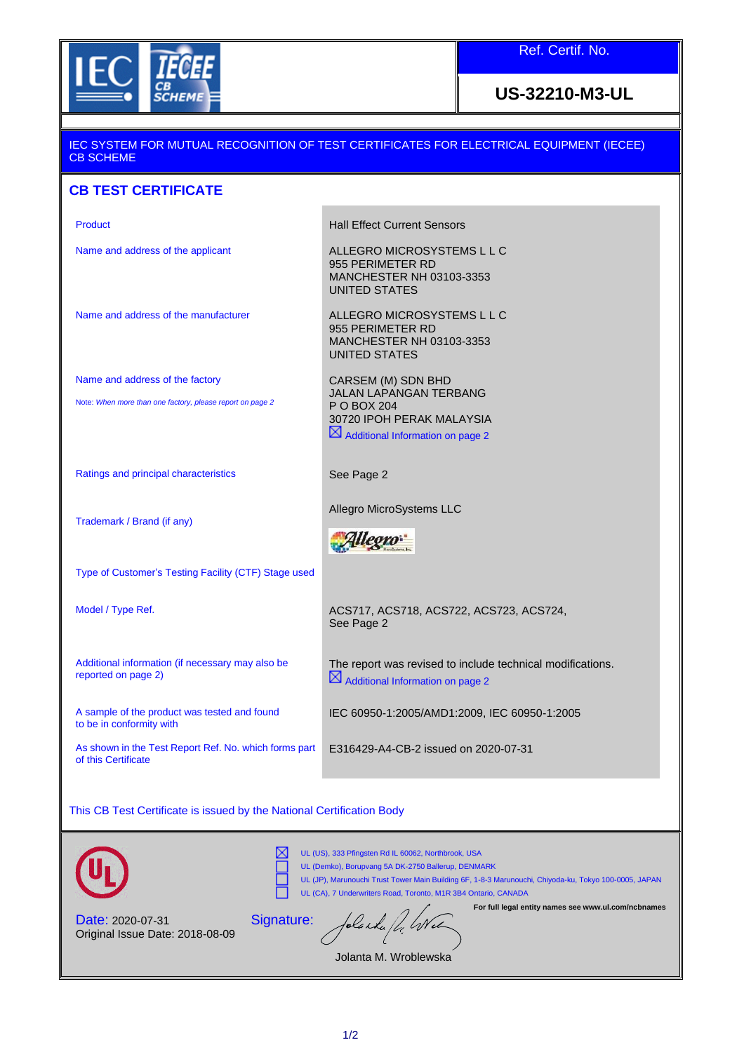

Ref. Certif. No.

**US-32210-M3-UL**

## IEC SYSTEM FOR MUTUAL RECOGNITION OF TEST CERTIFICATES FOR ELECTRICAL EQUIPMENT (IECEE) CB SCHEME

## **CB TEST CERTIFICATE**

Name and address of the applicant ALLEGRO MICROSYSTEMS L L C

Product **Product Hall Effect Current Sensors** 

955 PERIMETER RD

CARSEM (M) SDN BHD JALAN LAPANGAN TERBANG

UNITED STATES

955 PERIMETER RD MANCHESTER NH 03103-3353 UNITED STATES

MANCHESTER NH 03103-3353

30720 IPOH PERAK MALAYSIA  $\boxtimes$  Additional Information on page 2

Name and address of the manufacturer **ALLEGRO MICROSYSTEMS L L C** 

Name and address of the factory

Note: *When more than one factory, please report on page 2*

Ratings and principal characteristics See Page 2

Trademark / Brand (if any)

P O BOX 204

Allegro MicroSystems LLC

Allegro

Type of Customer's Testing Facility (CTF) Stage used

Additional information (if necessary may also be reported on page 2)

A sample of the product was tested and found to be in conformity with

As shown in the Test Report Ref. No. which forms part of this Certificate

Model / Type Ref. ACS717, ACS718, ACS722, ACS723, ACS724, See Page 2

> The report was revised to include technical modifications.  $\boxtimes$  Additional Information on page 2

IEC 60950-1:2005/AMD1:2009, IEC 60950-1:2005

E316429-A4-CB-2 issued on 2020-07-31

This CB Test Certificate is issued by the National Certification Body



UL (US), 333 Pfingsten Rd IL 60062, Northbrook, USA UL (Demko), Borupvang 5A DK-2750 Ballerup, DENMARK UL (JP), Marunouchi Trust Tower Main Building 6F, 1-8-3 Marunouchi, Chiyoda-ku, Tokyo 100-0005, JAPAN UL (CA), 7 Underwriters Road, Toronto, M1R 3B4 Ontario, CANADA **For full legal entity names see www.ul.com/ncbnames**

Date: 2020-07-31 Original Issue Date: 2018-08-09

Signature: Jolanda / 4 Wel

Jolanta M. Wroblewska